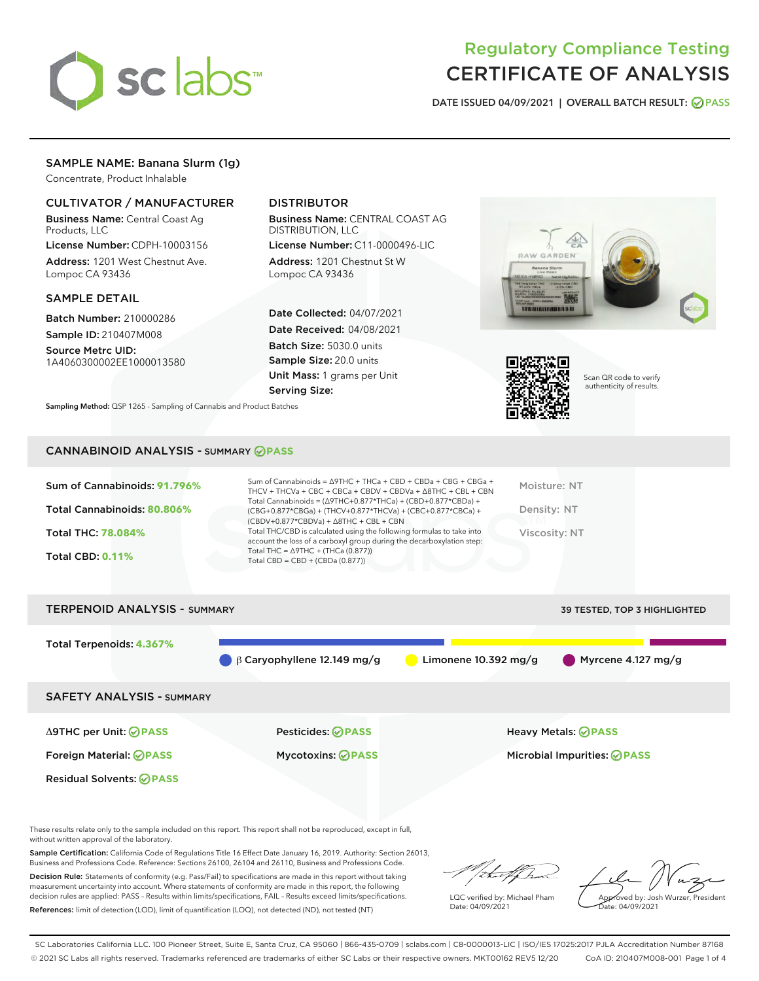

# Regulatory Compliance Testing CERTIFICATE OF ANALYSIS

DATE ISSUED 04/09/2021 | OVERALL BATCH RESULT: @ PASS

# SAMPLE NAME: Banana Slurm (1g)

Concentrate, Product Inhalable

# CULTIVATOR / MANUFACTURER

Business Name: Central Coast Ag Products, LLC

License Number: CDPH-10003156 Address: 1201 West Chestnut Ave. Lompoc CA 93436

#### SAMPLE DETAIL

Batch Number: 210000286 Sample ID: 210407M008

Source Metrc UID: 1A4060300002EE1000013580

# DISTRIBUTOR

Business Name: CENTRAL COAST AG DISTRIBUTION, LLC

License Number: C11-0000496-LIC Address: 1201 Chestnut St W Lompoc CA 93436

Date Collected: 04/07/2021 Date Received: 04/08/2021 Batch Size: 5030.0 units Sample Size: 20.0 units Unit Mass: 1 grams per Unit Serving Size:





Scan QR code to verify authenticity of results.

Sampling Method: QSP 1265 - Sampling of Cannabis and Product Batches

#### CANNABINOID ANALYSIS - SUMMARY **PASS**

| Sum of Cannabinoids: 91.796%<br>Total Cannabinoids: 80.806%<br><b>Total THC: 78,084%</b><br><b>Total CBD: 0.11%</b> | Sum of Cannabinoids = $\triangle$ 9THC + THCa + CBD + CBDa + CBG + CBGa +<br>THCV + THCVa + CBC + CBCa + CBDV + CBDVa + $\land$ 8THC + CBL + CBN<br>Total Cannabinoids = $(\Delta$ 9THC+0.877*THCa) + (CBD+0.877*CBDa) +<br>(CBG+0.877*CBGa) + (THCV+0.877*THCVa) + (CBC+0.877*CBCa) +<br>$(CBDV+0.877*CBDVa) + \Delta 8THC + CBL + CBN$<br>Total THC/CBD is calculated using the following formulas to take into<br>account the loss of a carboxyl group during the decarboxylation step:<br>Total THC = $\triangle$ 9THC + (THCa (0.877))<br>Total CBD = $CBD + (CBDa (0.877))$ | Moisture: NT<br>Density: NT<br>Viscosity: NT |
|---------------------------------------------------------------------------------------------------------------------|-----------------------------------------------------------------------------------------------------------------------------------------------------------------------------------------------------------------------------------------------------------------------------------------------------------------------------------------------------------------------------------------------------------------------------------------------------------------------------------------------------------------------------------------------------------------------------------|----------------------------------------------|
| <b>TERPENOID ANALYSIS - SUMMARY</b>                                                                                 |                                                                                                                                                                                                                                                                                                                                                                                                                                                                                                                                                                                   | 39 TESTED, TOP 3 HIGHLIGHTED                 |

Total Terpenoids: **4.367%** β Caryophyllene 12.149 mg/g Limonene 10.392 mg/g Myrcene 4.127 mg/g SAFETY ANALYSIS - SUMMARY Δ9THC per Unit: **PASS** Pesticides: **PASS** Heavy Metals: **PASS** Foreign Material: **PASS** Mycotoxins: **PASS** Microbial Impurities: **PASS** Residual Solvents: **PASS** 

These results relate only to the sample included on this report. This report shall not be reproduced, except in full, without written approval of the laboratory.

Sample Certification: California Code of Regulations Title 16 Effect Date January 16, 2019. Authority: Section 26013, Business and Professions Code. Reference: Sections 26100, 26104 and 26110, Business and Professions Code.

Decision Rule: Statements of conformity (e.g. Pass/Fail) to specifications are made in this report without taking measurement uncertainty into account. Where statements of conformity are made in this report, the following decision rules are applied: PASS – Results within limits/specifications, FAIL – Results exceed limits/specifications. References: limit of detection (LOD), limit of quantification (LOQ), not detected (ND), not tested (NT)

that for

LQC verified by: Michael Pham Date: 04/09/2021

Approved by: Josh Wurzer, President ate: 04/09/2021

SC Laboratories California LLC. 100 Pioneer Street, Suite E, Santa Cruz, CA 95060 | 866-435-0709 | sclabs.com | C8-0000013-LIC | ISO/IES 17025:2017 PJLA Accreditation Number 87168 © 2021 SC Labs all rights reserved. Trademarks referenced are trademarks of either SC Labs or their respective owners. MKT00162 REV5 12/20 CoA ID: 210407M008-001 Page 1 of 4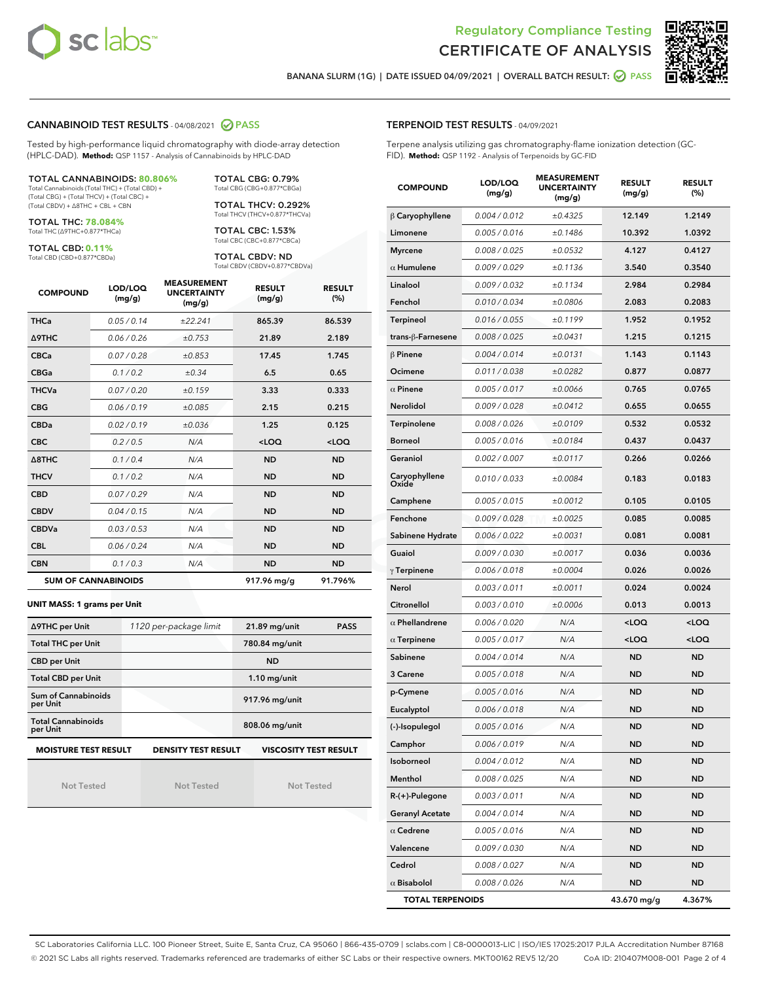



BANANA SLURM (1G) | DATE ISSUED 04/09/2021 | OVERALL BATCH RESULT: @ PASS

## CANNABINOID TEST RESULTS - 04/08/2021 2 PASS

Tested by high-performance liquid chromatography with diode-array detection (HPLC-DAD). **Method:** QSP 1157 - Analysis of Cannabinoids by HPLC-DAD

### TOTAL CANNABINOIDS: **80.806%**

Total Cannabinoids (Total THC) + (Total CBD) + (Total CBG) + (Total THCV) + (Total CBC) + (Total CBDV) + ∆8THC + CBL + CBN

TOTAL THC: **78.084%** Total THC (∆9THC+0.877\*THCa)

TOTAL CBD: **0.11%**

Total CBD (CBD+0.877\*CBDa)

TOTAL CBG: 0.79% Total CBG (CBG+0.877\*CBGa)

TOTAL THCV: 0.292% Total THCV (THCV+0.877\*THCVa)

TOTAL CBC: 1.53% Total CBC (CBC+0.877\*CBCa)

TOTAL CBDV: ND Total CBDV (CBDV+0.877\*CBDVa)

| <b>COMPOUND</b>  | LOD/LOQ<br>(mg/g)          | <b>MEASUREMENT</b><br><b>UNCERTAINTY</b><br>(mg/g) | <b>RESULT</b><br>(mg/g) | <b>RESULT</b><br>(%) |
|------------------|----------------------------|----------------------------------------------------|-------------------------|----------------------|
| <b>THCa</b>      | 0.05/0.14                  | ±22.241                                            | 865.39                  | 86.539               |
| <b>A9THC</b>     | 0.06 / 0.26                | ±0.753                                             | 21.89                   | 2.189                |
| <b>CBCa</b>      | 0.07 / 0.28                | ±0.853                                             | 17.45                   | 1.745                |
| <b>CBGa</b>      | 0.1/0.2                    | $\pm 0.34$                                         | 6.5                     | 0.65                 |
| <b>THCVa</b>     | 0.07/0.20                  | ±0.159                                             | 3.33                    | 0.333                |
| <b>CBG</b>       | 0.06/0.19                  | ±0.085                                             | 2.15                    | 0.215                |
| <b>CBDa</b>      | 0.02 / 0.19                | ±0.036                                             | 1.25                    | 0.125                |
| <b>CBC</b>       | 0.2 / 0.5                  | N/A                                                | $<$ LOQ                 | $<$ LOQ              |
| $\triangle$ 8THC | 0.1 / 0.4                  | N/A                                                | <b>ND</b>               | <b>ND</b>            |
| <b>THCV</b>      | 0.1 / 0.2                  | N/A                                                | <b>ND</b>               | <b>ND</b>            |
| <b>CBD</b>       | 0.07/0.29                  | N/A                                                | <b>ND</b>               | <b>ND</b>            |
| <b>CBDV</b>      | 0.04/0.15                  | N/A                                                | <b>ND</b>               | <b>ND</b>            |
| <b>CBDVa</b>     | 0.03/0.53                  | N/A                                                | <b>ND</b>               | <b>ND</b>            |
| <b>CBL</b>       | 0.06 / 0.24                | N/A                                                | <b>ND</b>               | <b>ND</b>            |
| <b>CBN</b>       | 0.1/0.3                    | N/A                                                | <b>ND</b>               | <b>ND</b>            |
|                  | <b>SUM OF CANNABINOIDS</b> |                                                    | 917.96 mg/g             | 91.796%              |

#### **UNIT MASS: 1 grams per Unit**

| ∆9THC per Unit                                                                     | 1120 per-package limit | 21.89 mg/unit<br><b>PASS</b> |  |  |
|------------------------------------------------------------------------------------|------------------------|------------------------------|--|--|
| <b>Total THC per Unit</b>                                                          |                        | 780.84 mg/unit               |  |  |
| <b>CBD per Unit</b>                                                                |                        | <b>ND</b>                    |  |  |
| <b>Total CBD per Unit</b>                                                          |                        | $1.10$ mg/unit               |  |  |
| Sum of Cannabinoids<br>per Unit                                                    |                        | 917.96 mg/unit               |  |  |
| <b>Total Cannabinoids</b><br>per Unit                                              |                        | 808.06 mg/unit               |  |  |
| <b>MOISTURE TEST RESULT</b><br>DENSITY TEST RESULT<br><b>VISCOSITY TEST RESULT</b> |                        |                              |  |  |

Not Tested

Not Tested

Not Tested

#### TERPENOID TEST RESULTS - 04/09/2021

Terpene analysis utilizing gas chromatography-flame ionization detection (GC-FID). **Method:** QSP 1192 - Analysis of Terpenoids by GC-FID

| <b>COMPOUND</b>         | LOD/LOQ<br>(mg/g) | <b>MEASUREMENT</b><br><b>UNCERTAINTY</b><br>(mg/g) | <b>RESULT</b><br>(mg/g)                          | <b>RESULT</b><br>(%) |
|-------------------------|-------------------|----------------------------------------------------|--------------------------------------------------|----------------------|
| $\beta$ Caryophyllene   | 0.004 / 0.012     | ±0.4325                                            | 12.149                                           | 1.2149               |
| Limonene                | 0.005 / 0.016     | ±0.1486                                            | 10.392                                           | 1.0392               |
| <b>Myrcene</b>          | 0.008 / 0.025     | ±0.0532                                            | 4.127                                            | 0.4127               |
| $\alpha$ Humulene       | 0.009 / 0.029     | ±0.1136                                            | 3.540                                            | 0.3540               |
| Linalool                | 0.009 / 0.032     | ±0.1134                                            | 2.984                                            | 0.2984               |
| Fenchol                 | 0.010 / 0.034     | ±0.0806                                            | 2.083                                            | 0.2083               |
| Terpineol               | 0.016 / 0.055     | ±0.1199                                            | 1.952                                            | 0.1952               |
| trans-ß-Farnesene       | 0.008 / 0.025     | ±0.0431                                            | 1.215                                            | 0.1215               |
| $\beta$ Pinene          | 0.004 / 0.014     | ±0.0131                                            | 1.143                                            | 0.1143               |
| Ocimene                 | 0.011 / 0.038     | ±0.0282                                            | 0.877                                            | 0.0877               |
| $\alpha$ Pinene         | 0.005 / 0.017     | ±0.0066                                            | 0.765                                            | 0.0765               |
| Nerolidol               | 0.009 / 0.028     | ±0.0412                                            | 0.655                                            | 0.0655               |
| Terpinolene             | 0.008 / 0.026     | ±0.0109                                            | 0.532                                            | 0.0532               |
| Borneol                 | 0.005 / 0.016     | ±0.0184                                            | 0.437                                            | 0.0437               |
| Geraniol                | 0.002 / 0.007     | ±0.0117                                            | 0.266                                            | 0.0266               |
| Caryophyllene<br>Oxide  | 0.010 / 0.033     | ±0.0084                                            | 0.183                                            | 0.0183               |
| Camphene                | 0.005 / 0.015     | ±0.0012                                            | 0.105                                            | 0.0105               |
| Fenchone                | 0.009 / 0.028     | ±0.0025                                            | 0.085                                            | 0.0085               |
| Sabinene Hydrate        | 0.006 / 0.022     | ±0.0031                                            | 0.081                                            | 0.0081               |
| Guaiol                  | 0.009 / 0.030     | ±0.0017                                            | 0.036                                            | 0.0036               |
| $\gamma$ Terpinene      | 0.006 / 0.018     | ±0.0004                                            | 0.026                                            | 0.0026               |
| Nerol                   | 0.003 / 0.011     | ±0.0011                                            | 0.024                                            | 0.0024               |
| Citronellol             | 0.003 / 0.010     | ±0.0006                                            | 0.013                                            | 0.0013               |
| $\alpha$ Phellandrene   | 0.006 / 0.020     | N/A                                                | <loq< th=""><th><math>&lt;</math>LOQ</th></loq<> | $<$ LOQ              |
| $\alpha$ Terpinene      | 0.005 / 0.017     | N/A                                                | <loq< th=""><th><loq< th=""></loq<></th></loq<>  | <loq< th=""></loq<>  |
| Sabinene                | 0.004 / 0.014     | N/A                                                | <b>ND</b>                                        | <b>ND</b>            |
| 3 Carene                | 0.005 / 0.018     | N/A                                                | ND                                               | <b>ND</b>            |
| p-Cymene                | 0.005 / 0.016     | N/A                                                | <b>ND</b>                                        | <b>ND</b>            |
| Eucalyptol              | 0.006 / 0.018     | N/A                                                | ND                                               | <b>ND</b>            |
| (-)-Isopulegol          | 0.005 / 0.016     | N/A                                                | <b>ND</b>                                        | <b>ND</b>            |
| Camphor                 | 0.006 / 0.019     | N/A                                                | ND                                               | ND                   |
| Isoborneol              | 0.004 / 0.012     | N/A                                                | ND                                               | ND                   |
| Menthol                 | 0.008 / 0.025     | N/A                                                | <b>ND</b>                                        | ND                   |
| $R-(+)$ -Pulegone       | 0.003 / 0.011     | N/A                                                | <b>ND</b>                                        | <b>ND</b>            |
| <b>Geranyl Acetate</b>  | 0.004 / 0.014     | N/A                                                | ND                                               | ND                   |
| $\alpha$ Cedrene        | 0.005 / 0.016     | N/A                                                | <b>ND</b>                                        | ND                   |
| Valencene               | 0.009 / 0.030     | N/A                                                | <b>ND</b>                                        | <b>ND</b>            |
| Cedrol                  | 0.008 / 0.027     | N/A                                                | ND                                               | ND                   |
| $\alpha$ Bisabolol      | 0.008 / 0.026     | N/A                                                | <b>ND</b>                                        | ND                   |
| <b>TOTAL TERPENOIDS</b> |                   |                                                    | 43.670 mg/g                                      | 4.367%               |

SC Laboratories California LLC. 100 Pioneer Street, Suite E, Santa Cruz, CA 95060 | 866-435-0709 | sclabs.com | C8-0000013-LIC | ISO/IES 17025:2017 PJLA Accreditation Number 87168 © 2021 SC Labs all rights reserved. Trademarks referenced are trademarks of either SC Labs or their respective owners. MKT00162 REV5 12/20 CoA ID: 210407M008-001 Page 2 of 4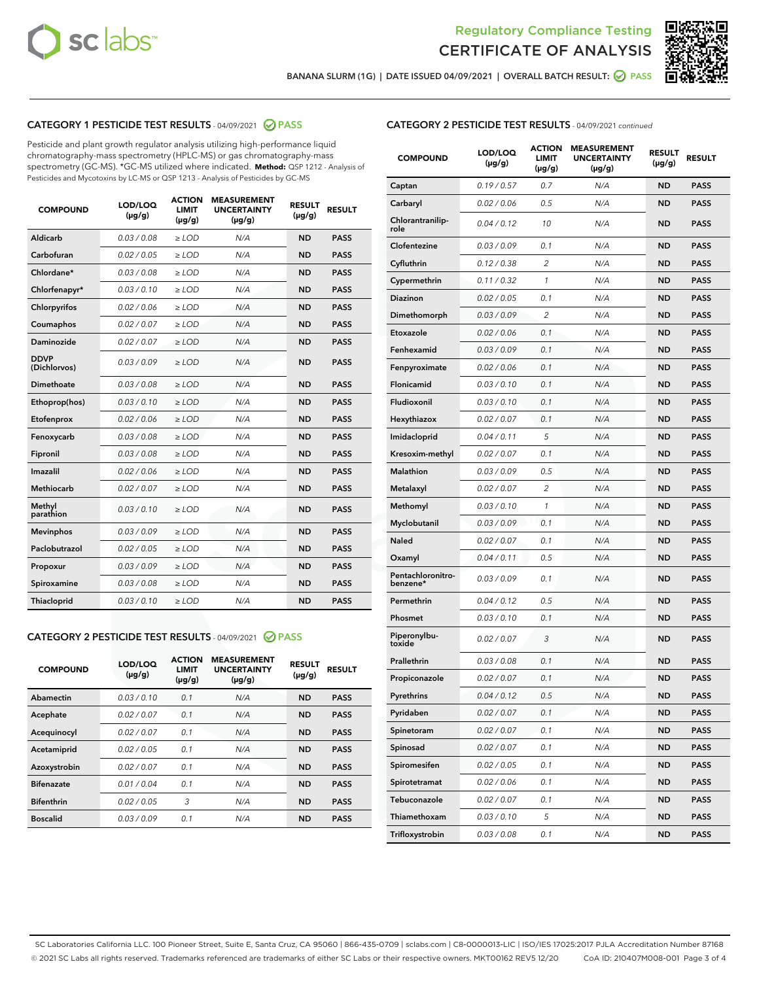



BANANA SLURM (1G) | DATE ISSUED 04/09/2021 | OVERALL BATCH RESULT:  $\bigcirc$  PASS

# CATEGORY 1 PESTICIDE TEST RESULTS - 04/09/2021 2 PASS

Pesticide and plant growth regulator analysis utilizing high-performance liquid chromatography-mass spectrometry (HPLC-MS) or gas chromatography-mass spectrometry (GC-MS). \*GC-MS utilized where indicated. **Method:** QSP 1212 - Analysis of Pesticides and Mycotoxins by LC-MS or QSP 1213 - Analysis of Pesticides by GC-MS

| <b>COMPOUND</b>             | LOD/LOQ<br>$(\mu g/g)$ | <b>ACTION</b><br>LIMIT<br>$(\mu g/g)$ | <b>MEASUREMENT</b><br><b>UNCERTAINTY</b><br>$(\mu g/g)$ | <b>RESULT</b><br>$(\mu g/g)$ | <b>RESULT</b> |
|-----------------------------|------------------------|---------------------------------------|---------------------------------------------------------|------------------------------|---------------|
| Aldicarb                    | 0.03 / 0.08            | $\ge$ LOD                             | N/A                                                     | <b>ND</b>                    | <b>PASS</b>   |
| Carbofuran                  | 0.02 / 0.05            | $\ge$ LOD                             | N/A                                                     | <b>ND</b>                    | <b>PASS</b>   |
| Chlordane*                  | 0.03 / 0.08            | $\ge$ LOD                             | N/A                                                     | <b>ND</b>                    | <b>PASS</b>   |
| Chlorfenapyr*               | 0.03/0.10              | $\ge$ LOD                             | N/A                                                     | <b>ND</b>                    | <b>PASS</b>   |
| Chlorpyrifos                | 0.02 / 0.06            | $\ge$ LOD                             | N/A                                                     | <b>ND</b>                    | <b>PASS</b>   |
| Coumaphos                   | 0.02 / 0.07            | $\ge$ LOD                             | N/A                                                     | <b>ND</b>                    | <b>PASS</b>   |
| Daminozide                  | 0.02/0.07              | $\ge$ LOD                             | N/A                                                     | <b>ND</b>                    | <b>PASS</b>   |
| <b>DDVP</b><br>(Dichlorvos) | 0.03/0.09              | $\ge$ LOD                             | N/A                                                     | <b>ND</b>                    | <b>PASS</b>   |
| Dimethoate                  | 0.03 / 0.08            | $>$ LOD                               | N/A                                                     | <b>ND</b>                    | <b>PASS</b>   |
| Ethoprop(hos)               | 0.03/0.10              | $\ge$ LOD                             | N/A                                                     | <b>ND</b>                    | <b>PASS</b>   |
| Etofenprox                  | 0.02/0.06              | $>$ LOD                               | N/A                                                     | <b>ND</b>                    | <b>PASS</b>   |
| Fenoxycarb                  | 0.03/0.08              | $>$ LOD                               | N/A                                                     | <b>ND</b>                    | <b>PASS</b>   |
| Fipronil                    | 0.03 / 0.08            | $>$ LOD                               | N/A                                                     | <b>ND</b>                    | <b>PASS</b>   |
| Imazalil                    | 0.02/0.06              | $>$ LOD                               | N/A                                                     | <b>ND</b>                    | <b>PASS</b>   |
| <b>Methiocarb</b>           | 0.02 / 0.07            | $\ge$ LOD                             | N/A                                                     | <b>ND</b>                    | <b>PASS</b>   |
| Methyl<br>parathion         | 0.03/0.10              | $\ge$ LOD                             | N/A                                                     | <b>ND</b>                    | <b>PASS</b>   |
| <b>Mevinphos</b>            | 0.03/0.09              | $\ge$ LOD                             | N/A                                                     | <b>ND</b>                    | <b>PASS</b>   |
| Paclobutrazol               | 0.02 / 0.05            | $\ge$ LOD                             | N/A                                                     | <b>ND</b>                    | <b>PASS</b>   |
| Propoxur                    | 0.03 / 0.09            | $\ge$ LOD                             | N/A                                                     | <b>ND</b>                    | <b>PASS</b>   |
| Spiroxamine                 | 0.03 / 0.08            | $\ge$ LOD                             | N/A                                                     | <b>ND</b>                    | <b>PASS</b>   |
| Thiacloprid                 | 0.03/0.10              | $\ge$ LOD                             | N/A                                                     | <b>ND</b>                    | <b>PASS</b>   |

#### CATEGORY 2 PESTICIDE TEST RESULTS - 04/09/2021 @ PASS

| <b>COMPOUND</b>   | LOD/LOQ<br>$(\mu g/g)$ | <b>ACTION</b><br><b>LIMIT</b><br>$(\mu g/g)$ | <b>MEASUREMENT</b><br><b>UNCERTAINTY</b><br>$(\mu g/g)$ | <b>RESULT</b><br>$(\mu g/g)$ | <b>RESULT</b> |
|-------------------|------------------------|----------------------------------------------|---------------------------------------------------------|------------------------------|---------------|
| Abamectin         | 0.03/0.10              | 0.1                                          | N/A                                                     | <b>ND</b>                    | <b>PASS</b>   |
| Acephate          | 0.02/0.07              | 0.1                                          | N/A                                                     | <b>ND</b>                    | <b>PASS</b>   |
| Acequinocyl       | 0.02/0.07              | 0.1                                          | N/A                                                     | <b>ND</b>                    | <b>PASS</b>   |
| Acetamiprid       | 0.02/0.05              | 0.1                                          | N/A                                                     | <b>ND</b>                    | <b>PASS</b>   |
| Azoxystrobin      | 0.02/0.07              | 0.1                                          | N/A                                                     | <b>ND</b>                    | <b>PASS</b>   |
| <b>Bifenazate</b> | 0.01/0.04              | 0.1                                          | N/A                                                     | <b>ND</b>                    | <b>PASS</b>   |
| <b>Bifenthrin</b> | 0.02/0.05              | 3                                            | N/A                                                     | <b>ND</b>                    | <b>PASS</b>   |
| <b>Boscalid</b>   | 0.03/0.09              | 0.1                                          | N/A                                                     | <b>ND</b>                    | <b>PASS</b>   |

| <b>CATEGORY 2 PESTICIDE TEST RESULTS</b> - 04/09/2021 continued |  |  |
|-----------------------------------------------------------------|--|--|
|                                                                 |  |  |

| <b>COMPOUND</b>               | LOD/LOQ<br>(µg/g) | <b>ACTION</b><br>LIMIT<br>(µg/g) | <b>MEASUREMENT</b><br><b>UNCERTAINTY</b><br>(µg/g) | <b>RESULT</b><br>(µg/g) | <b>RESULT</b> |
|-------------------------------|-------------------|----------------------------------|----------------------------------------------------|-------------------------|---------------|
| Captan                        | 0.19 / 0.57       | 0.7                              | N/A                                                | <b>ND</b>               | <b>PASS</b>   |
| Carbaryl                      | 0.02 / 0.06       | 0.5                              | N/A                                                | <b>ND</b>               | <b>PASS</b>   |
| Chlorantranilip-<br>role      | 0.04 / 0.12       | 10                               | N/A                                                | ND                      | <b>PASS</b>   |
| Clofentezine                  | 0.03 / 0.09       | 0.1                              | N/A                                                | ND                      | <b>PASS</b>   |
| Cyfluthrin                    | 0.12 / 0.38       | $\overline{c}$                   | N/A                                                | ND                      | <b>PASS</b>   |
| Cypermethrin                  | 0.11 / 0.32       | 1                                | N/A                                                | ND                      | <b>PASS</b>   |
| Diazinon                      | 0.02 / 0.05       | 0.1                              | N/A                                                | ND                      | <b>PASS</b>   |
| Dimethomorph                  | 0.03 / 0.09       | 2                                | N/A                                                | ND                      | PASS          |
| Etoxazole                     | 0.02 / 0.06       | 0.1                              | N/A                                                | ND                      | <b>PASS</b>   |
| Fenhexamid                    | 0.03 / 0.09       | 0.1                              | N/A                                                | ND                      | <b>PASS</b>   |
| Fenpyroximate                 | 0.02 / 0.06       | 0.1                              | N/A                                                | ND                      | PASS          |
| Flonicamid                    | 0.03 / 0.10       | 0.1                              | N/A                                                | ND                      | <b>PASS</b>   |
| Fludioxonil                   | 0.03/0.10         | 0.1                              | N/A                                                | ND                      | <b>PASS</b>   |
| Hexythiazox                   | 0.02 / 0.07       | 0.1                              | N/A                                                | ND                      | PASS          |
| Imidacloprid                  | 0.04 / 0.11       | 5                                | N/A                                                | ND                      | <b>PASS</b>   |
| Kresoxim-methyl               | 0.02 / 0.07       | 0.1                              | N/A                                                | ND                      | <b>PASS</b>   |
| <b>Malathion</b>              | 0.03 / 0.09       | 0.5                              | N/A                                                | ND                      | PASS          |
| Metalaxyl                     | 0.02 / 0.07       | 2                                | N/A                                                | ND                      | <b>PASS</b>   |
| Methomyl                      | 0.03 / 0.10       | 1                                | N/A                                                | ND                      | <b>PASS</b>   |
| Myclobutanil                  | 0.03 / 0.09       | 0.1                              | N/A                                                | ND                      | PASS          |
| Naled                         | 0.02 / 0.07       | 0.1                              | N/A                                                | ND                      | <b>PASS</b>   |
| Oxamyl                        | 0.04 / 0.11       | 0.5                              | N/A                                                | ND                      | PASS          |
| Pentachloronitro-<br>benzene* | 0.03 / 0.09       | 0.1                              | N/A                                                | ND                      | PASS          |
| Permethrin                    | 0.04 / 0.12       | 0.5                              | N/A                                                | ND                      | PASS          |
| Phosmet                       | 0.03 / 0.10       | 0.1                              | N/A                                                | ND                      | PASS          |
| Piperonylbu-<br>toxide        | 0.02 / 0.07       | 3                                | N/A                                                | ND                      | PASS          |
| Prallethrin                   | 0.03 / 0.08       | 0.1                              | N/A                                                | ND                      | <b>PASS</b>   |
| Propiconazole                 | 0.02 / 0.07       | 0.1                              | N/A                                                | ND                      | <b>PASS</b>   |
| Pyrethrins                    | 0.04 / 0.12       | 0.5                              | N/A                                                | ND,                     | PASS          |
| Pyridaben                     | 0.02 / 0.07       | 0.1                              | N/A                                                | ND                      | PASS          |
| Spinetoram                    | 0.02 / 0.07       | 0.1                              | N/A                                                | ND                      | <b>PASS</b>   |
| Spinosad                      | 0.02 / 0.07       | 0.1                              | N/A                                                | ND                      | <b>PASS</b>   |
| Spiromesifen                  | 0.02 / 0.05       | 0.1                              | N/A                                                | ND                      | <b>PASS</b>   |
| Spirotetramat                 | 0.02 / 0.06       | 0.1                              | N/A                                                | ND                      | <b>PASS</b>   |
| Tebuconazole                  | 0.02 / 0.07       | 0.1                              | N/A                                                | ND                      | <b>PASS</b>   |
| Thiamethoxam                  | 0.03 / 0.10       | 5                                | N/A                                                | ND                      | <b>PASS</b>   |
| Trifloxystrobin               | 0.03 / 0.08       | 0.1                              | N/A                                                | ND                      | <b>PASS</b>   |

SC Laboratories California LLC. 100 Pioneer Street, Suite E, Santa Cruz, CA 95060 | 866-435-0709 | sclabs.com | C8-0000013-LIC | ISO/IES 17025:2017 PJLA Accreditation Number 87168 © 2021 SC Labs all rights reserved. Trademarks referenced are trademarks of either SC Labs or their respective owners. MKT00162 REV5 12/20 CoA ID: 210407M008-001 Page 3 of 4